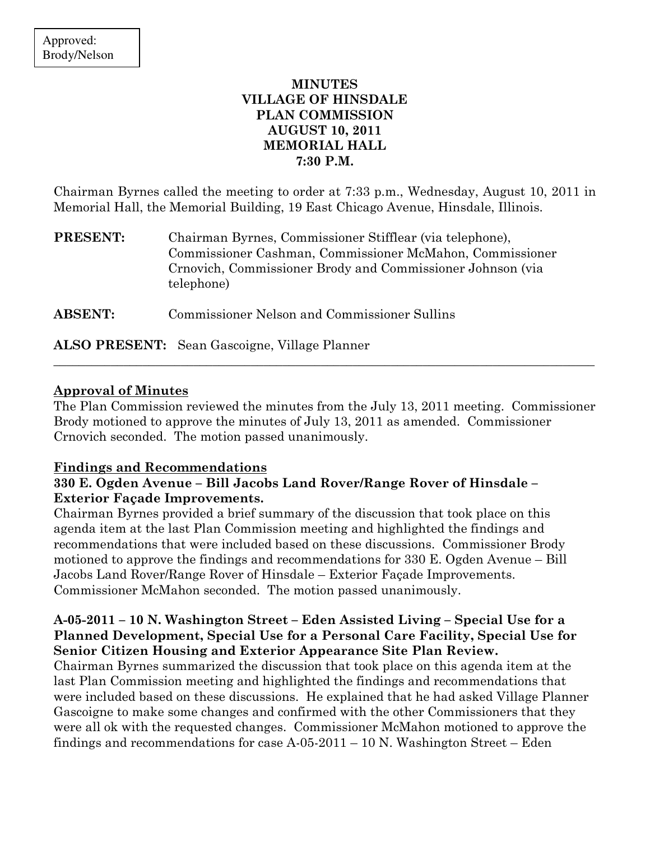## MINUTES VILLAGE OF HINSDALE PLAN COMMISSION AUGUST 10, 2011 MEMORIAL HALL 7:30 P.M.

Chairman Byrnes called the meeting to order at 7:33 p.m., Wednesday, August 10, 2011 in Memorial Hall, the Memorial Building, 19 East Chicago Avenue, Hinsdale, Illinois.

| <b>PRESENT:</b> | Chairman Byrnes, Commissioner Stifflear (via telephone),   |
|-----------------|------------------------------------------------------------|
|                 | Commissioner Cashman, Commissioner McMahon, Commissioner   |
|                 | Crnovich, Commissioner Brody and Commissioner Johnson (via |
|                 | telephone)                                                 |
|                 |                                                            |

ABSENT: Commissioner Nelson and Commissioner Sullins

ALSO PRESENT: Sean Gascoigne, Village Planner

# Approval of Minutes

The Plan Commission reviewed the minutes from the July 13, 2011 meeting. Commissioner Brody motioned to approve the minutes of July 13, 2011 as amended. Commissioner Crnovich seconded. The motion passed unanimously.

\_\_\_\_\_\_\_\_\_\_\_\_\_\_\_\_\_\_\_\_\_\_\_\_\_\_\_\_\_\_\_\_\_\_\_\_\_\_\_\_\_\_\_\_\_\_\_\_\_\_\_\_\_\_\_\_\_\_\_\_\_\_\_\_\_\_\_\_\_\_\_\_\_\_\_\_\_\_\_\_\_\_\_\_\_

#### Findings and Recommendations

## 330 E. Ogden Avenue – Bill Jacobs Land Rover/Range Rover of Hinsdale – Exterior Façade Improvements.

Chairman Byrnes provided a brief summary of the discussion that took place on this agenda item at the last Plan Commission meeting and highlighted the findings and recommendations that were included based on these discussions. Commissioner Brody motioned to approve the findings and recommendations for 330 E. Ogden Avenue – Bill Jacobs Land Rover/Range Rover of Hinsdale – Exterior Façade Improvements. Commissioner McMahon seconded. The motion passed unanimously.

## A-05-2011 – 10 N. Washington Street – Eden Assisted Living – Special Use for a Planned Development, Special Use for a Personal Care Facility, Special Use for Senior Citizen Housing and Exterior Appearance Site Plan Review.

Chairman Byrnes summarized the discussion that took place on this agenda item at the last Plan Commission meeting and highlighted the findings and recommendations that were included based on these discussions. He explained that he had asked Village Planner Gascoigne to make some changes and confirmed with the other Commissioners that they were all ok with the requested changes. Commissioner McMahon motioned to approve the findings and recommendations for case  $A-05-2011-10$  N. Washington Street – Eden